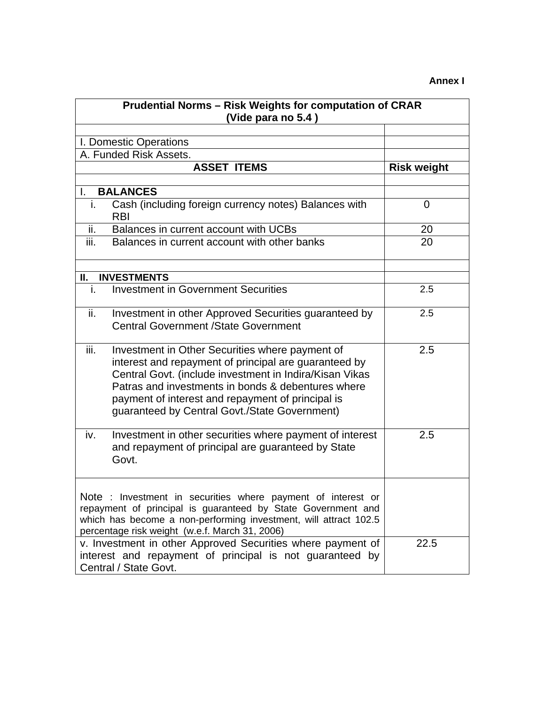## **Annex I**

| <b>Prudential Norms - Risk Weights for computation of CRAR</b>                    |                                                                                                                                                                                                                                                                                                                                 |                    |
|-----------------------------------------------------------------------------------|---------------------------------------------------------------------------------------------------------------------------------------------------------------------------------------------------------------------------------------------------------------------------------------------------------------------------------|--------------------|
| (Vide para no 5.4)                                                                |                                                                                                                                                                                                                                                                                                                                 |                    |
|                                                                                   |                                                                                                                                                                                                                                                                                                                                 |                    |
|                                                                                   | I. Domestic Operations                                                                                                                                                                                                                                                                                                          |                    |
|                                                                                   | A. Funded Risk Assets.                                                                                                                                                                                                                                                                                                          |                    |
|                                                                                   | <b>ASSET ITEMS</b>                                                                                                                                                                                                                                                                                                              | <b>Risk weight</b> |
| L.                                                                                | <b>BALANCES</b>                                                                                                                                                                                                                                                                                                                 |                    |
| i.                                                                                | Cash (including foreign currency notes) Balances with<br><b>RBI</b>                                                                                                                                                                                                                                                             | 0                  |
| ii.                                                                               | Balances in current account with UCBs                                                                                                                                                                                                                                                                                           | 20                 |
| iii.                                                                              | Balances in current account with other banks                                                                                                                                                                                                                                                                                    | 20                 |
| Ш.                                                                                | <b>INVESTMENTS</b>                                                                                                                                                                                                                                                                                                              |                    |
| i.                                                                                | <b>Investment in Government Securities</b>                                                                                                                                                                                                                                                                                      | 2.5                |
| ii.                                                                               | Investment in other Approved Securities guaranteed by<br><b>Central Government /State Government</b>                                                                                                                                                                                                                            | 2.5                |
| iii.                                                                              | Investment in Other Securities where payment of<br>interest and repayment of principal are guaranteed by<br>Central Govt. (include investment in Indira/Kisan Vikas<br>Patras and investments in bonds & debentures where<br>payment of interest and repayment of principal is<br>guaranteed by Central Govt./State Government) | 2.5                |
| iv.                                                                               | Investment in other securities where payment of interest<br>and repayment of principal are guaranteed by State<br>Govt.                                                                                                                                                                                                         | 2.5                |
|                                                                                   | Note : Investment in securities where payment of interest or<br>repayment of principal is guaranteed by State Government and<br>which has become a non-performing investment, will attract 102.5<br>percentage risk weight (w.e.f. March 31, 2006)<br>v. Investment in other Approved Securities where payment of               | 22.5               |
| interest and repayment of principal is not guaranteed by<br>Central / State Govt. |                                                                                                                                                                                                                                                                                                                                 |                    |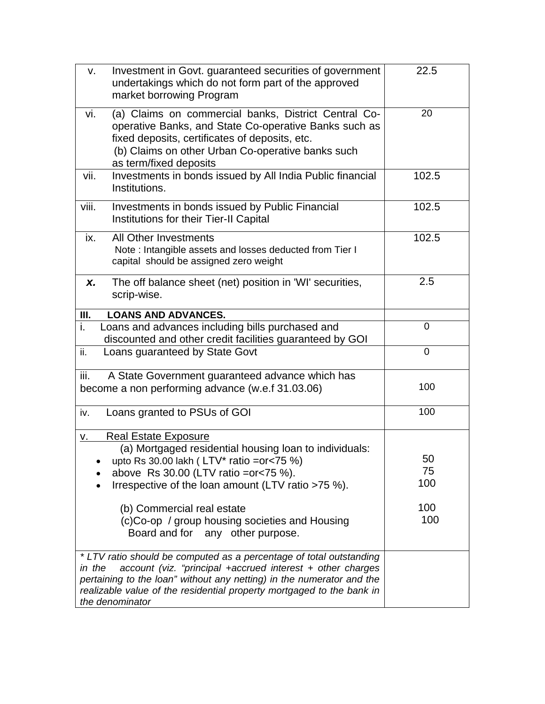| Investment in Govt. guaranteed securities of government<br>v.<br>undertakings which do not form part of the approved<br>market borrowing Program                                                                                                                                                                 | 22.5           |
|------------------------------------------------------------------------------------------------------------------------------------------------------------------------------------------------------------------------------------------------------------------------------------------------------------------|----------------|
| (a) Claims on commercial banks, District Central Co-<br>vi.<br>operative Banks, and State Co-operative Banks such as<br>fixed deposits, certificates of deposits, etc.<br>(b) Claims on other Urban Co-operative banks such<br>as term/fixed deposits                                                            | 20             |
| Investments in bonds issued by All India Public financial<br>vii.<br>Institutions.                                                                                                                                                                                                                               | 102.5          |
| viii.<br>Investments in bonds issued by Public Financial<br>Institutions for their Tier-II Capital                                                                                                                                                                                                               | 102.5          |
| All Other Investments<br>ix.<br>Note: Intangible assets and losses deducted from Tier I<br>capital should be assigned zero weight                                                                                                                                                                                | 102.5          |
| The off balance sheet (net) position in 'WI' securities,<br>X.<br>scrip-wise.                                                                                                                                                                                                                                    | 2.5            |
| <b>LOANS AND ADVANCES.</b><br>Ш.                                                                                                                                                                                                                                                                                 |                |
| i.<br>Loans and advances including bills purchased and<br>discounted and other credit facilities guaranteed by GOI                                                                                                                                                                                               | 0              |
| ii.<br>Loans guaranteed by State Govt                                                                                                                                                                                                                                                                            | $\overline{0}$ |
| iii.<br>A State Government guaranteed advance which has<br>become a non performing advance (w.e.f 31.03.06)                                                                                                                                                                                                      | 100            |
| Loans granted to PSUs of GOI<br>iv.                                                                                                                                                                                                                                                                              | 100            |
| <b>Real Estate Exposure</b><br><u>v.</u><br>(a) Mortgaged residential housing loan to individuals:                                                                                                                                                                                                               |                |
| upto Rs 30.00 lakh ( $LTV*$ ratio = or < 75 %)                                                                                                                                                                                                                                                                   | 50             |
| above Rs 30.00 (LTV ratio = $or < 75$ %).                                                                                                                                                                                                                                                                        | 75             |
| Irrespective of the loan amount (LTV ratio >75 %).                                                                                                                                                                                                                                                               | 100            |
| (b) Commercial real estate                                                                                                                                                                                                                                                                                       | 100            |
| (c)Co-op / group housing societies and Housing<br>Board and for any other purpose.                                                                                                                                                                                                                               | 100            |
| * LTV ratio should be computed as a percentage of total outstanding<br>account (viz. "principal +accrued interest + other charges<br>in the<br>pertaining to the loan" without any netting) in the numerator and the<br>realizable value of the residential property mortgaged to the bank in<br>the denominator |                |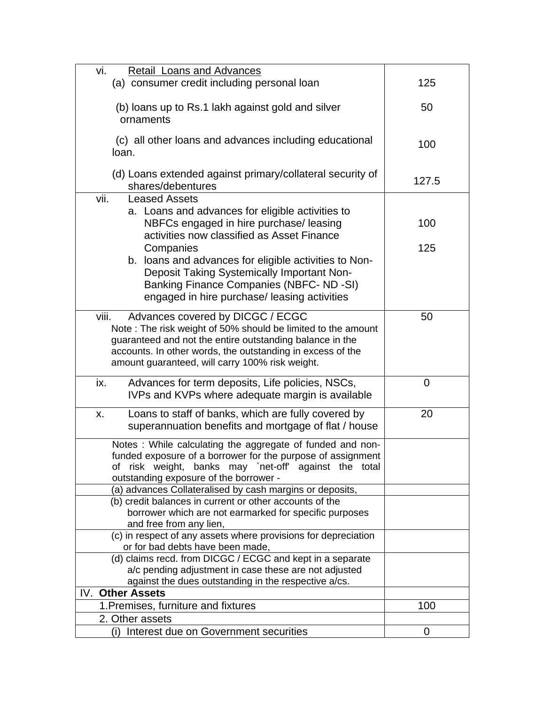| vi.<br>Retail Loans and Advances                                                                                       |             |
|------------------------------------------------------------------------------------------------------------------------|-------------|
| (a) consumer credit including personal loan                                                                            | 125         |
|                                                                                                                        |             |
| (b) loans up to Rs.1 lakh against gold and silver<br>ornaments                                                         | 50          |
|                                                                                                                        |             |
| (c) all other loans and advances including educational<br>loan.                                                        | 100         |
| (d) Loans extended against primary/collateral security of<br>shares/debentures                                         | 127.5       |
| vii.<br><b>Leased Assets</b>                                                                                           |             |
| a. Loans and advances for eligible activities to                                                                       |             |
| NBFCs engaged in hire purchase/ leasing                                                                                | 100         |
| activities now classified as Asset Finance<br>Companies                                                                | 125         |
| b. Ioans and advances for eligible activities to Non-                                                                  |             |
| Deposit Taking Systemically Important Non-                                                                             |             |
| Banking Finance Companies (NBFC- ND-SI)                                                                                |             |
| engaged in hire purchase/ leasing activities                                                                           |             |
|                                                                                                                        |             |
| viii.<br>Advances covered by DICGC / ECGC                                                                              | 50          |
| Note: The risk weight of 50% should be limited to the amount                                                           |             |
| guaranteed and not the entire outstanding balance in the<br>accounts. In other words, the outstanding in excess of the |             |
| amount guaranteed, will carry 100% risk weight.                                                                        |             |
|                                                                                                                        |             |
| Advances for term deposits, Life policies, NSCs,<br>ix.                                                                | $\mathbf 0$ |
| IVPs and KVPs where adequate margin is available                                                                       |             |
| Loans to staff of banks, which are fully covered by<br>Х.                                                              | 20          |
| superannuation benefits and mortgage of flat / house                                                                   |             |
|                                                                                                                        |             |
| Notes : While calculating the aggregate of funded and non-                                                             |             |
| funded exposure of a borrower for the purpose of assignment<br>of risk weight, banks may `net-off' against the total   |             |
| outstanding exposure of the borrower -                                                                                 |             |
| (a) advances Collateralised by cash margins or deposits,                                                               |             |
| (b) credit balances in current or other accounts of the                                                                |             |
| borrower which are not earmarked for specific purposes                                                                 |             |
| and free from any lien,                                                                                                |             |
| (c) in respect of any assets where provisions for depreciation                                                         |             |
| or for bad debts have been made,<br>(d) claims recd. from DICGC / ECGC and kept in a separate                          |             |
| a/c pending adjustment in case these are not adjusted                                                                  |             |
| against the dues outstanding in the respective a/cs.                                                                   |             |
| <b>Other Assets</b><br>IV.                                                                                             |             |
| 1. Premises, furniture and fixtures                                                                                    | 100         |
| 2. Other assets                                                                                                        |             |
| Interest due on Government securities<br>(i)                                                                           | 0           |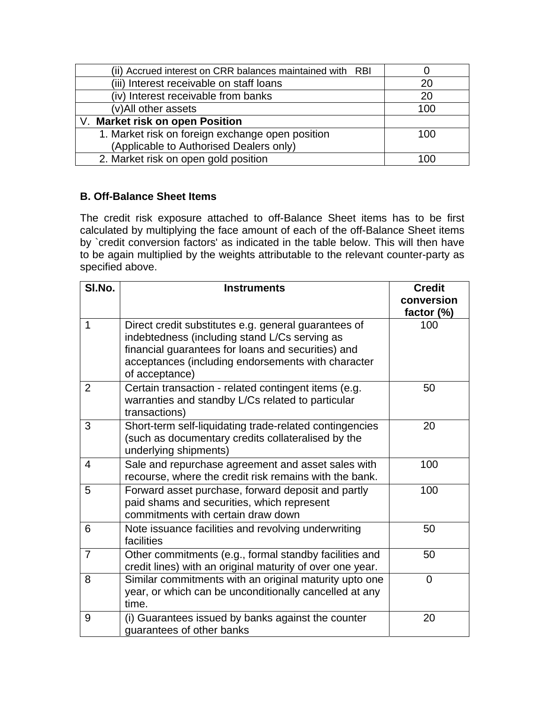| (ii) Accrued interest on CRR balances maintained with RBI |     |
|-----------------------------------------------------------|-----|
| (iii) Interest receivable on staff loans                  | 20  |
| (iv) Interest receivable from banks                       | 20  |
| (v)All other assets                                       | 100 |
| V. Market risk on open Position                           |     |
| 1. Market risk on foreign exchange open position          | 100 |
| (Applicable to Authorised Dealers only)                   |     |
| 2. Market risk on open gold position                      | 100 |

## **B. Off-Balance Sheet Items**

The credit risk exposure attached to off-Balance Sheet items has to be first calculated by multiplying the face amount of each of the off-Balance Sheet items by `credit conversion factors' as indicated in the table below. This will then have to be again multiplied by the weights attributable to the relevant counter-party as specified above.

| SI.No.         | <b>Instruments</b>                                                                                                                                                                                                                  | <b>Credit</b><br>conversion<br>factor (%) |
|----------------|-------------------------------------------------------------------------------------------------------------------------------------------------------------------------------------------------------------------------------------|-------------------------------------------|
| 1              | Direct credit substitutes e.g. general guarantees of<br>indebtedness (including stand L/Cs serving as<br>financial guarantees for loans and securities) and<br>acceptances (including endorsements with character<br>of acceptance) | 100                                       |
| 2              | Certain transaction - related contingent items (e.g.<br>warranties and standby L/Cs related to particular<br>transactions)                                                                                                          | 50                                        |
| 3              | Short-term self-liquidating trade-related contingencies<br>(such as documentary credits collateralised by the<br>underlying shipments)                                                                                              | 20                                        |
| 4              | Sale and repurchase agreement and asset sales with<br>recourse, where the credit risk remains with the bank.                                                                                                                        | 100                                       |
| 5              | Forward asset purchase, forward deposit and partly<br>paid shams and securities, which represent<br>commitments with certain draw down                                                                                              | 100                                       |
| 6              | Note issuance facilities and revolving underwriting<br>facilities                                                                                                                                                                   | 50                                        |
| $\overline{7}$ | Other commitments (e.g., formal standby facilities and<br>credit lines) with an original maturity of over one year.                                                                                                                 | 50                                        |
| 8              | Similar commitments with an original maturity upto one<br>year, or which can be unconditionally cancelled at any<br>time.                                                                                                           | $\Omega$                                  |
| 9              | (i) Guarantees issued by banks against the counter<br>quarantees of other banks                                                                                                                                                     | 20                                        |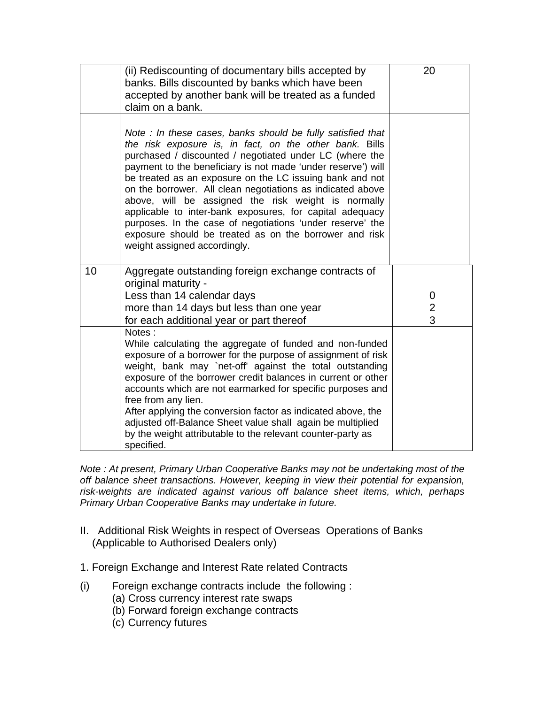|    | (ii) Rediscounting of documentary bills accepted by<br>banks. Bills discounted by banks which have been<br>accepted by another bank will be treated as a funded<br>claim on a bank.                                                                                                                                                                                                                                                                                                                                                                                                                                                                  | 20                       |
|----|------------------------------------------------------------------------------------------------------------------------------------------------------------------------------------------------------------------------------------------------------------------------------------------------------------------------------------------------------------------------------------------------------------------------------------------------------------------------------------------------------------------------------------------------------------------------------------------------------------------------------------------------------|--------------------------|
|    | Note: In these cases, banks should be fully satisfied that<br>the risk exposure is, in fact, on the other bank. Bills<br>purchased / discounted / negotiated under LC (where the<br>payment to the beneficiary is not made 'under reserve') will<br>be treated as an exposure on the LC issuing bank and not<br>on the borrower. All clean negotiations as indicated above<br>above, will be assigned the risk weight is normally<br>applicable to inter-bank exposures, for capital adequacy<br>purposes. In the case of negotiations 'under reserve' the<br>exposure should be treated as on the borrower and risk<br>weight assigned accordingly. |                          |
| 10 | Aggregate outstanding foreign exchange contracts of<br>original maturity -<br>Less than 14 calendar days<br>more than 14 days but less than one year<br>for each additional year or part thereof                                                                                                                                                                                                                                                                                                                                                                                                                                                     | 0<br>$\overline{2}$<br>3 |
|    | Notes:<br>While calculating the aggregate of funded and non-funded<br>exposure of a borrower for the purpose of assignment of risk<br>weight, bank may `net-off' against the total outstanding<br>exposure of the borrower credit balances in current or other<br>accounts which are not earmarked for specific purposes and<br>free from any lien.<br>After applying the conversion factor as indicated above, the<br>adjusted off-Balance Sheet value shall again be multiplied<br>by the weight attributable to the relevant counter-party as<br>specified.                                                                                       |                          |

*Note : At present, Primary Urban Cooperative Banks may not be undertaking most of the off balance sheet transactions. However, keeping in view their potential for expansion, risk-weights are indicated against various off balance sheet items, which, perhaps Primary Urban Cooperative Banks may undertake in future.* 

- II. Additional Risk Weights in respect of Overseas Operations of Banks (Applicable to Authorised Dealers only)
- 1. Foreign Exchange and Interest Rate related Contracts
- (i) Foreign exchange contracts include the following :
	- (a) Cross currency interest rate swaps
	- (b) Forward foreign exchange contracts
	- (c) Currency futures